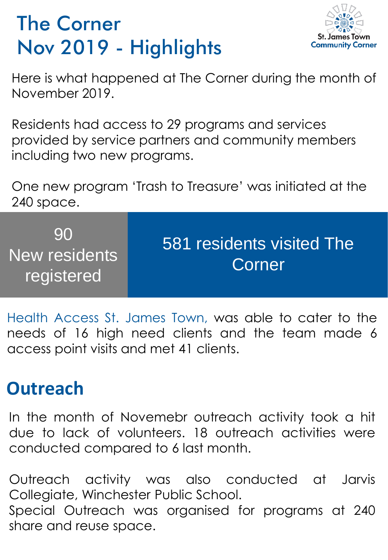## The Corner Nov 2019 - Highlights



Here is what happened at The Corner during the month of November 2019.

Residents had access to 29 programs and services provided by service partners and community members including two new programs.

One new program 'Trash to Treasure' was initiated at the 240 space.

| 90<br>New residents<br>registered | 581 residents visited The<br>Corner |
|-----------------------------------|-------------------------------------|
|-----------------------------------|-------------------------------------|

Health Access St. James Town, was able to cater to the needs of 16 high need clients and the team made 6 access point visits and met 41 clients.

## **Outreach**

In the month of Novemebr outreach activity took a hit due to lack of volunteers. 18 outreach activities were conducted compared to 6 last month.

Outreach activity was also conducted at Jarvis Collegiate, Winchester Public School. Special Outreach was organised for programs at 240 share and reuse space.